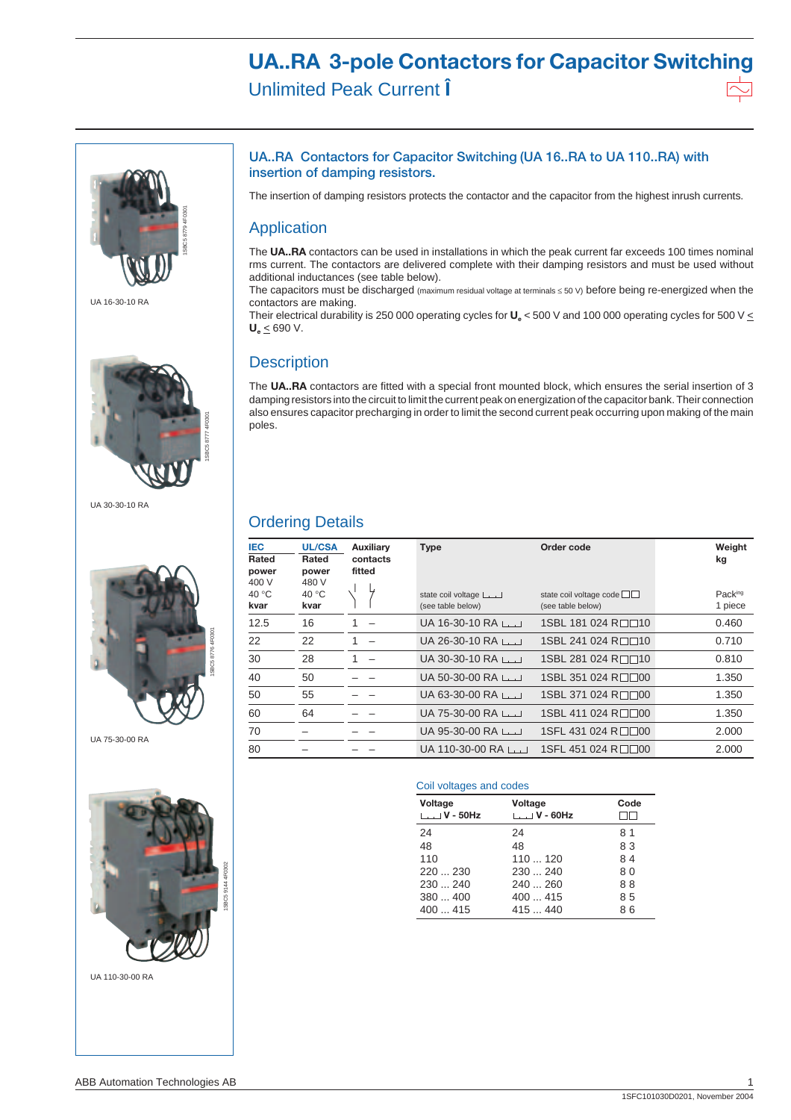# **UA..RA 3-pole Contactors for Capacitor Switching** Unlimited Peak Current **Î**



UA 16-30-10 RA



UA 30-30-10 RA



UA 75-30-00 RA



UA 110-30-00 RA



The insertion of damping resistors protects the contactor and the capacitor from the highest inrush currents.

### Application

The **UA..RA** contactors can be used in installations in which the peak current far exceeds 100 times nominal rms current. The contactors are delivered complete with their damping resistors and must be used without additional inductances (see table below).

The capacitors must be discharged (maximum residual voltage at terminals ≤ 50 V) before being re-energized when the contactors are making.

Their electrical durability is 250 000 operating cycles for  $U_e$  < 500 V and 100 000 operating cycles for 500 V  $\leq$ **Ue** < 690 V.

### **Description**

The **UA..RA** contactors are fitted with a special front mounted block, which ensures the serial insertion of 3 damping resistors into the circuit to limit the current peak on energization of the capacitor bank. Their connection also ensures capacitor precharging in order to limit the second current peak occurring upon making of the main poles.

# Ordering Details

| <b>IEC</b><br>Rated<br>power<br>400 V | <b>UL/CSA</b><br>Rated<br>power<br>480 V | <b>Auxiliary</b><br>contacts<br>fitted | <b>Type</b>                             | Order code                                   | Weight<br>kg       |
|---------------------------------------|------------------------------------------|----------------------------------------|-----------------------------------------|----------------------------------------------|--------------------|
| 40 °C<br>kvar                         | 40 $°C$<br>kvar                          |                                        | state coil voltage<br>(see table below) | state coil voltage code<br>(see table below) | Packing<br>1 piece |
| 12.5                                  | 16                                       |                                        | UA 16-30-10 RA                          | 1SBL 181 024 R□□10                           | 0.460              |
| 22                                    | 22                                       |                                        | UA 26-30-10 RA $\Box$                   | 1SBL 241 024 R□□10                           | 0.710              |
| 30                                    | 28                                       |                                        | UA 30-30-10 RA $\Box$                   | 1SBL 281 024 R□□10                           | 0.810              |
| 40                                    | 50                                       |                                        | UA 50-30-00 RA $\Box$                   | 1SBL 351 024 R□□00                           | 1.350              |
| 50                                    | 55                                       |                                        | UA 63-30-00 RA $\Box$                   | 1SBL 371 024 R□□00                           | 1.350              |
| 60                                    | 64                                       |                                        | $UA$ 75-30-00 RA $L_{L}$                | 1SBL 411 024 R□□00                           | 1.350              |
| 70                                    |                                          |                                        | UA 95-30-00 RA $\Box$                   | 1SFL 431 024 R□□00                           | 2.000              |
| 80                                    |                                          |                                        | $UA$ 110-30-00 RA $L_{L}$               | 1SFL 451 024 R□□00                           | 2.000              |

#### Coil voltages and codes

| Voltage<br>$\Box$ V - 50Hz | Voltage<br>$L$ $V$ - 60Hz | Code |
|----------------------------|---------------------------|------|
| 24                         | 24                        | 81   |
| 48                         | 48                        | 83   |
| 110                        | 110120                    | 84   |
| 220230                     | 230240                    | 80   |
| 230240                     | 240260                    | 88   |
| 380400                     | 400415                    | 85   |
| 400415                     | 415  440                  | 86   |